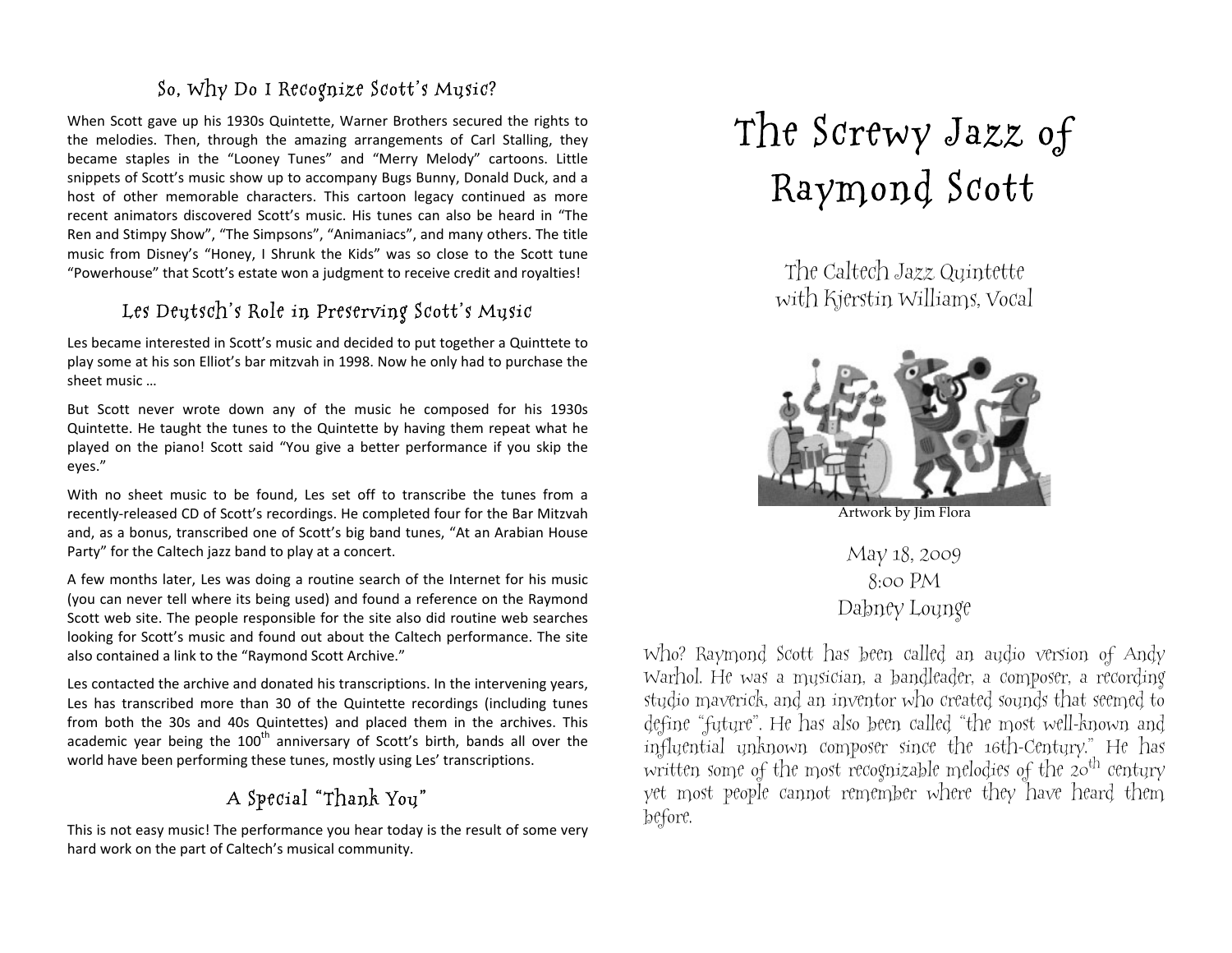### So, Why Do I Recognize Scott's Music?

When Scott gave up his 1930s Quintette, Warner Brothers secured the rights to the melodies. Then, through the amazing arrangements of Carl Stalling, they became staples in the "Looney Tunes" and "Merry Melody" cartoons. Little snippets of Scott's music show up to accompany Bugs Bunny, Donald Duck, and a host of other memorable characters. This cartoon legacy continued as more recent animators discovered Scott's music. His tunes can also be heard in "The Ren and Stimpy Show", "The Simpsons", "Animaniacs", and many others. The title music from Disney's "Honey, I Shrunk the Kids" was so close to the Scott tune "Powerhouse" that Scott's estate won a judgment to receive credit and royalties!

#### Les Deutsch's Role in Preserving Scott's Music

Les became interested in Scott's music and decided to put together a Quinttete to play
some
at
his
son
Elliot's
bar
mitzvah
in
1998.
Now
he
only
had
to
purchase
the sheet
music
…

But Scott never wrote down any of the music he composed for his 1930s Quintette. He taught the tunes to the Quintette by having them repeat what he played on the piano! Scott said "You give a better performance if you skip the eyes."

With no sheet music to be found, Les set off to transcribe the tunes from a recently-released CD of Scott's recordings. He completed four for the Bar Mitzvah and,
as
a
bonus,
transcribed
one
of
Scott's
big
band
tunes,
"At
an
Arabian
House Party" for the Caltech jazz band to play at a concert.

A few months later, Les was doing a routine search of the Internet for his music (you
can
never
tell
where
its
being
used)
and
found
a
reference
on
the
Raymond Scott web site. The people responsible for the site also did routine web searches looking for Scott's music and found out about the Caltech performance. The site also contained a link to the "Raymond Scott Archive."

Les contacted the archive and donated his transcriptions. In the intervening years, Les has transcribed more than 30 of the Quintette recordings (including tunes from both the 30s and 40s Quintettes) and placed them in the archives. This academic year being the 100<sup>th</sup> anniversary of Scott's birth, bands all over the world have been performing these tunes, mostly using Les' transcriptions.

## A Special "Thank You"

This is not easy music! The performance you hear today is the result of some very hard
work
on
the
part
of
Caltech's
musical
community.

# The Screwy Jazz of Raymond Scott

The Caltech Jazz Quintette with Kjerstin Williams, Vocal



Artwork by Jim Flora

May 18, 2009 8:00 PM Dabney Lounge

Who? Raymond Scott has been called an audio version of Andy Warhol. He was a musician, a bandleader, a composer, a recording studio maverick, and an inventor who created sounds that seemed to define "future". He has also been called "the most well-known and influential unknown composer since the 16th-Century." He has written some of the most recognizable melodies of the  $20<sup>th</sup>$  century yet most people cannot remember where they have heard them before.